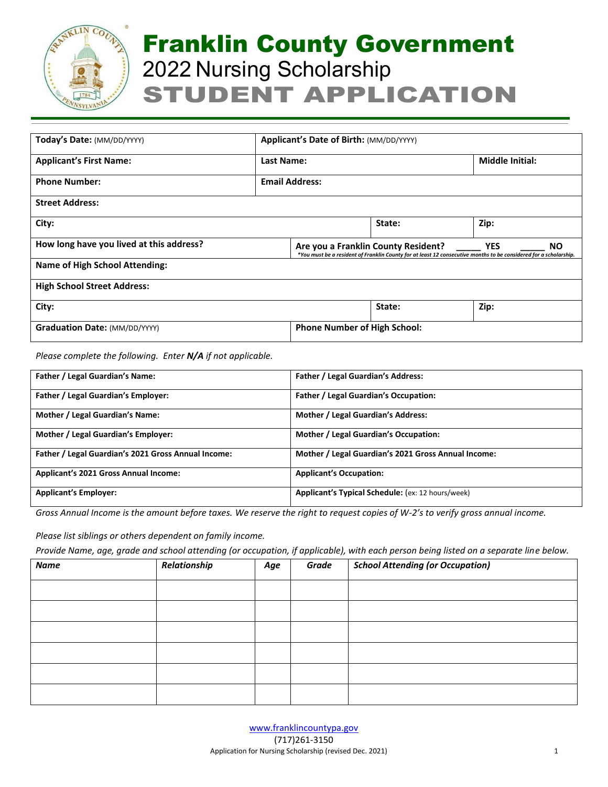

| Today's Date: (MM/DD/YYYY)               | Applicant's Date of Birth: (MM/DD/YYYY) |                       |                                                                                                                                                                                     |                        |  |
|------------------------------------------|-----------------------------------------|-----------------------|-------------------------------------------------------------------------------------------------------------------------------------------------------------------------------------|------------------------|--|
| <b>Applicant's First Name:</b>           | <b>Last Name:</b>                       |                       |                                                                                                                                                                                     | <b>Middle Initial:</b> |  |
| <b>Phone Number:</b>                     |                                         | <b>Email Address:</b> |                                                                                                                                                                                     |                        |  |
| <b>Street Address:</b>                   |                                         |                       |                                                                                                                                                                                     |                        |  |
| City:                                    |                                         |                       | State:                                                                                                                                                                              | Zip:                   |  |
| How long have you lived at this address? |                                         |                       | <b>YES</b><br>Are you a Franklin County Resident?<br><b>NO</b><br>*You must be a resident of Franklin County for at least 12 consecutive months to be considered for a scholarship. |                        |  |
| <b>Name of High School Attending:</b>    |                                         |                       |                                                                                                                                                                                     |                        |  |
| <b>High School Street Address:</b>       |                                         |                       |                                                                                                                                                                                     |                        |  |
| City:                                    |                                         |                       | State:                                                                                                                                                                              | Zip:                   |  |
| <b>Graduation Date: (MM/DD/YYYY)</b>     |                                         |                       | <b>Phone Number of High School:</b>                                                                                                                                                 |                        |  |

*Please complete the following. Enter N/A if not applicable.*

| <b>Father / Legal Guardian's Name:</b>              | <b>Father / Legal Guardian's Address:</b>           |
|-----------------------------------------------------|-----------------------------------------------------|
| <b>Father / Legal Guardian's Employer:</b>          | <b>Father / Legal Guardian's Occupation:</b>        |
| Mother / Legal Guardian's Name:                     | Mother / Legal Guardian's Address:                  |
| Mother / Legal Guardian's Employer:                 | Mother / Legal Guardian's Occupation:               |
| Father / Legal Guardian's 2021 Gross Annual Income: | Mother / Legal Guardian's 2021 Gross Annual Income: |
| <b>Applicant's 2021 Gross Annual Income:</b>        | <b>Applicant's Occupation:</b>                      |
| <b>Applicant's Employer:</b>                        | Applicant's Typical Schedule: (ex: 12 hours/week)   |

*Gross Annual Income is the amount before taxes. We reserve the right to request copies of W-2's to verify gross annual income.*

*Please list siblings or others dependent on family income.* 

*Provide Name, age, grade and school attending (or occupation, if applicable), with each person being listed on a separate line below.*

| <b>Name</b> | Relationship | Age | Grade | <b>School Attending (or Occupation)</b> |
|-------------|--------------|-----|-------|-----------------------------------------|
|             |              |     |       |                                         |
|             |              |     |       |                                         |
|             |              |     |       |                                         |
|             |              |     |       |                                         |
|             |              |     |       |                                         |
|             |              |     |       |                                         |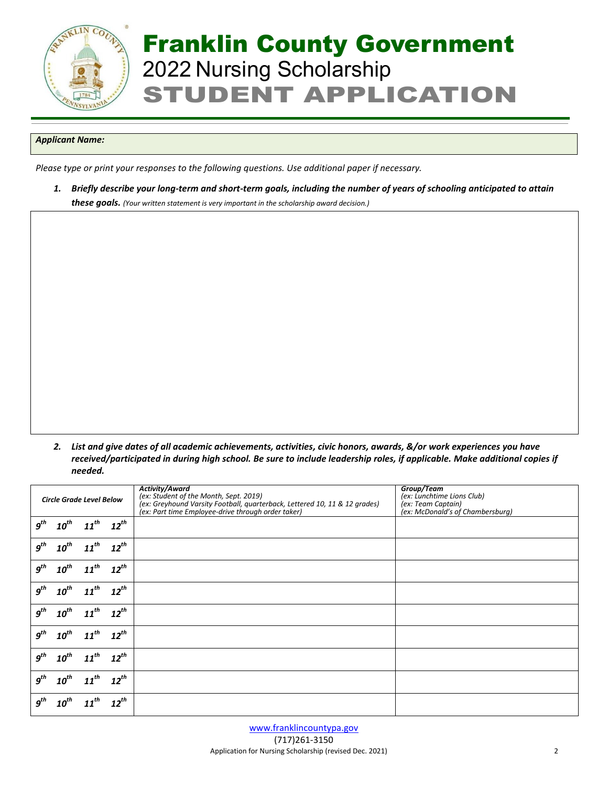

### *Applicant Name:*

*Please type or print your responses to the following questions. Use additional paper if necessary.* 

*1. Briefly describe your long-term and short-term goals, including the number of years of schooling anticipated to attain these goals. (Your written statement is very important in the scholarship award decision.)*

*2. List and give dates of all academic achievements, activities, civic honors, awards, &/or work experiences you have received/participated in during high school. Be sure to include leadership roles, if applicable. Make additional copies if needed.*

|                                 |           |           |                                                                                                                      | <b>Activity/Award</b>                              | Group/Team                       |
|---------------------------------|-----------|-----------|----------------------------------------------------------------------------------------------------------------------|----------------------------------------------------|----------------------------------|
| <b>Circle Grade Level Below</b> |           |           | (ex: Student of the Month, Sept. 2019)<br>(ex: Greyhound Varsity Football, quarterback, Lettered 10, 11 & 12 grades) | (ex: Lunchtime Lions Club)<br>(ex: Team Captain)   |                                  |
|                                 |           |           |                                                                                                                      | (ex: Part time Employee-drive through order taker) | (ex: McDonald's of Chambersburg) |
| $g^{th}$                        | $10^{th}$ | $11^{th}$ | $12^{th}$                                                                                                            |                                                    |                                  |
|                                 |           |           |                                                                                                                      |                                                    |                                  |
| $g^{th}$                        | $10^{th}$ | $11^{th}$ | $12^{th}$                                                                                                            |                                                    |                                  |
|                                 |           |           |                                                                                                                      |                                                    |                                  |
| $g^{th}$                        | $10^{th}$ | $11^{th}$ | $12^{th}$                                                                                                            |                                                    |                                  |
|                                 |           |           |                                                                                                                      |                                                    |                                  |
| $g^{th}$                        | $10^{th}$ | $11^{th}$ | $12^{th}$                                                                                                            |                                                    |                                  |
|                                 |           |           |                                                                                                                      |                                                    |                                  |
| $g^{th}$                        | $10^{th}$ | $11^{th}$ | $12^{th}$                                                                                                            |                                                    |                                  |
|                                 |           |           |                                                                                                                      |                                                    |                                  |
| $g^{th}$                        | $10^{th}$ | $11^{th}$ | $12^{th}$                                                                                                            |                                                    |                                  |
|                                 |           |           |                                                                                                                      |                                                    |                                  |
| $g^{th}$                        | $10^{th}$ | $11^{th}$ | $12^{th}$                                                                                                            |                                                    |                                  |
|                                 |           |           |                                                                                                                      |                                                    |                                  |
| $g^{th}$                        | $10^{th}$ | $11^{th}$ | $12^{th}$                                                                                                            |                                                    |                                  |
|                                 |           |           |                                                                                                                      |                                                    |                                  |
| $q^{th}$                        | $10^{th}$ | $11^{th}$ | $12^{th}$                                                                                                            |                                                    |                                  |
|                                 |           |           |                                                                                                                      |                                                    |                                  |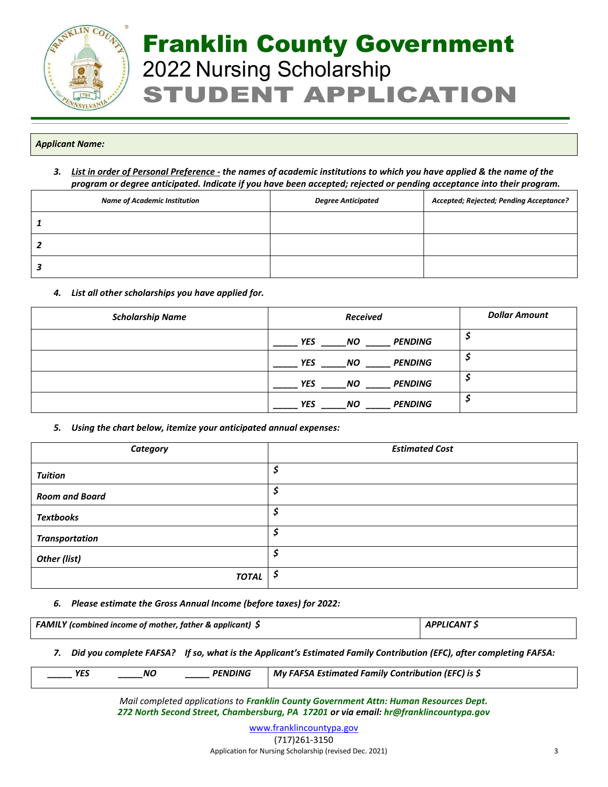

## *Applicant Name:*

*3. List in order of Personal Preference - the names of academic institutions to which you have applied & the name of the program or degree anticipated. Indicate if you have been accepted; rejected or pending acceptance into their program.*

| <b>Name of Academic Institution</b> | <b>Degree Anticipated</b> | Accepted; Rejected; Pending Acceptance? |
|-------------------------------------|---------------------------|-----------------------------------------|
|                                     |                           |                                         |
|                                     |                           |                                         |
|                                     |                           |                                         |

## *4. List all other scholarships you have applied for.*

| <b>Scholarship Name</b> | <b>Received</b>                           | <b>Dollar Amount</b> |
|-------------------------|-------------------------------------------|----------------------|
|                         | <b>YES</b><br><b>NO</b><br><b>PENDING</b> |                      |
|                         | <b>PENDING</b><br><b>YES</b><br><b>NO</b> |                      |
|                         | <b>YES</b><br><b>NO</b><br><b>PENDING</b> |                      |
|                         | <b>YES</b><br><b>NO</b><br><b>PENDING</b> |                      |

## *5. Using the chart below, itemize your anticipated annual expenses:*

| Category              | <b>Estimated Cost</b> |
|-----------------------|-----------------------|
| <b>Tuition</b>        | \$,                   |
| <b>Room and Board</b> | \$                    |
| <b>Textbooks</b>      | \$.                   |
| <b>Transportation</b> | \$,                   |
| Other (list)          | \$                    |
| <b>TOTAL</b>          | Ş                     |

### *6. Please estimate the Gross Annual Income (before taxes) for 2022:*

| <b>FAMILY</b> (combined income of mother, father & applicant) $\oint$ | <b>APPLICANT S</b> |
|-----------------------------------------------------------------------|--------------------|
|                                                                       |                    |

*7. Did you complete FAFSA? If so, what is the Applicant's Estimated Family Contribution (EFC), after completing FAFSA:*

|  | <b>PENDING</b><br>YES<br>ΝC | $^{\prime}$ My FAFSA Estimated Family Contribution (EFC) is \$ |
|--|-----------------------------|----------------------------------------------------------------|
|--|-----------------------------|----------------------------------------------------------------|

*Mail completed applications to Franklin County Government Attn: Human Resources Dept. 272 North Second Street, Chambersburg, PA 17201 or via email: hr@franklincountypa.gov*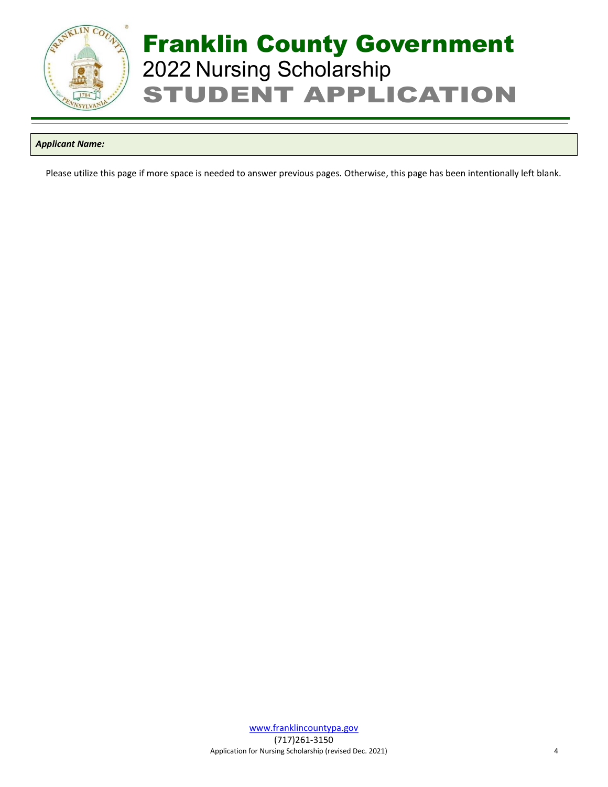

## *Applicant Name:*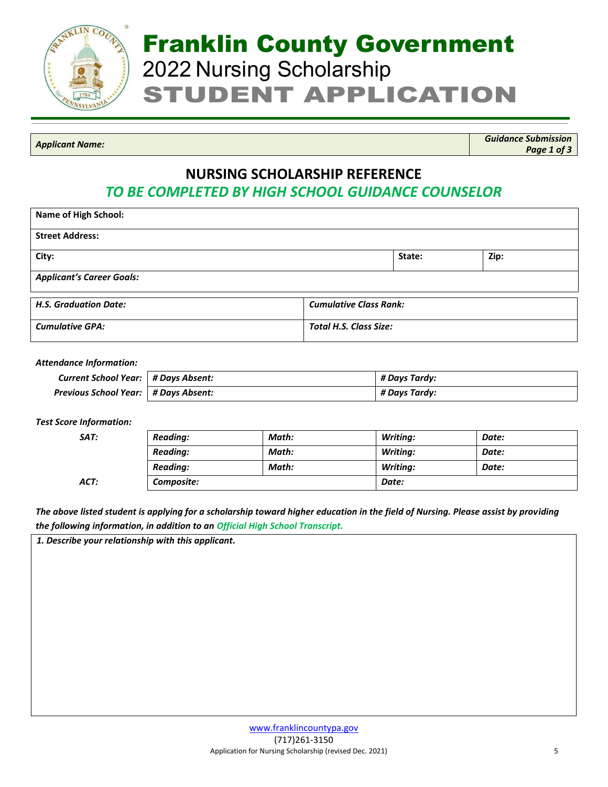

*Applicant Name: Guidance Submission Page 1 of 3*

## **NURSING SCHOLARSHIP REFERENCE**

*TO BE COMPLETED BY HIGH SCHOOL GUIDANCE COUNSELOR*

| <b>Name of High School:</b>                                   |                               |        |      |  |  |
|---------------------------------------------------------------|-------------------------------|--------|------|--|--|
| <b>Street Address:</b>                                        |                               |        |      |  |  |
| City:                                                         |                               | State: | Zip: |  |  |
| <b>Applicant's Career Goals:</b>                              |                               |        |      |  |  |
| <b>H.S. Graduation Date:</b><br><b>Cumulative Class Rank:</b> |                               |        |      |  |  |
| <b>Cumulative GPA:</b>                                        | <b>Total H.S. Class Size:</b> |        |      |  |  |

## *Attendance Information:*

| Current School Year:   # Days Absent:  | # Days Tardy: |
|----------------------------------------|---------------|
| Previous School Year:   # Days Absent: | # Days Tardy: |

## *Test Score Information:*

| SAT: | Reading:   | Math: | <b>Writing:</b> | Date: |
|------|------------|-------|-----------------|-------|
|      | Reading:   | Math: | <b>Writing:</b> | Date: |
|      | Reading:   | Math: | <b>Writing:</b> | Date: |
| ACT: | Composite: |       | Date:           |       |

*The above listed student is applying for a scholarship toward higher education in the field of Nursing. Please assist by providing the following information, in addition to an Official High School Transcript.*

*1. Describe your relationship with this applicant.*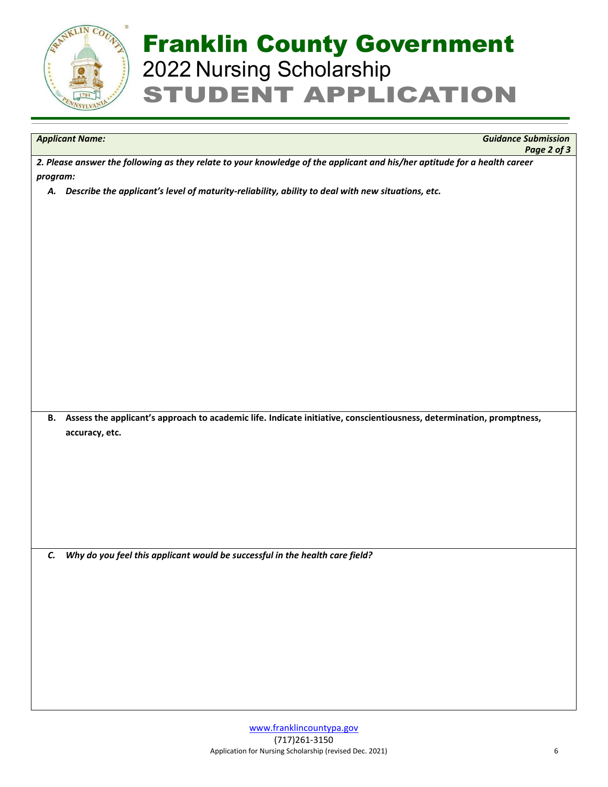

*Applicant Name: Guidance Submission Page 2 of 3*

*2. Please answer the following as they relate to your knowledge of the applicant and his/her aptitude for a health career program:*

*A. Describe the applicant's level of maturity-reliability, ability to deal with new situations, etc.*

**B. Assess the applicant's approach to academic life. Indicate initiative, conscientiousness, determination, promptness, accuracy, etc.**

*C. Why do you feel this applicant would be successful in the health care field?*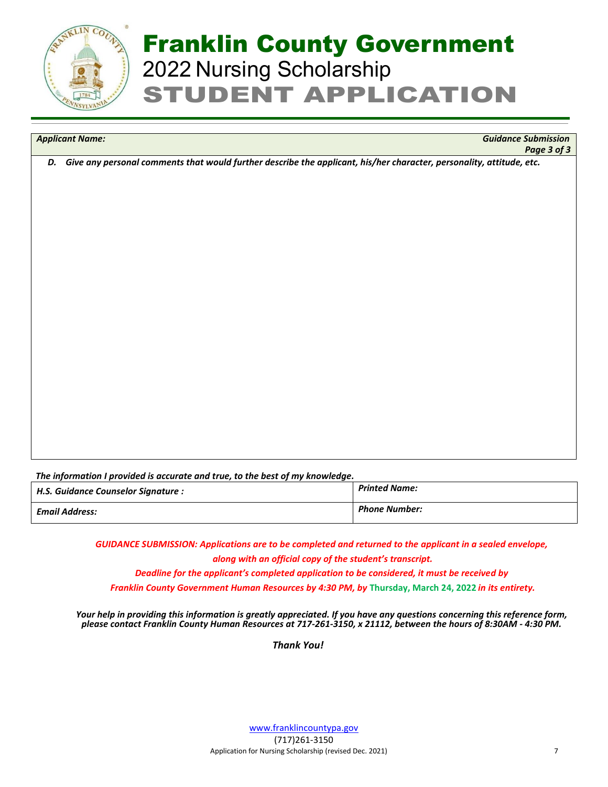

*Applicant Name: Guidance Submission Page 3 of 3*

*D. Give any personal comments that would further describe the applicant, his/her character, personality, attitude, etc.*

*The information I provided is accurate and true, to the best of my knowledge.*

| H.S. Guidance Counselor Signature : | <b>Printed Name:</b> |
|-------------------------------------|----------------------|
| <b>Email Address:</b>               | <b>Phone Number:</b> |

*GUIDANCE SUBMISSION: Applications are to be completed and returned to the applicant in a sealed envelope, along with an official copy of the student's transcript.*

*Deadline for the applicant's completed application to be considered, it must be received by*

*Franklin County Government Human Resources by 4:30 PM, by* **Thursday, March 24, 2022** *in its entirety.* 

*Your help in providing this information is greatly appreciated. If you have any questions concerning this reference form, please contact Franklin County Human Resources at 717-261-3150, x 21112, between the hours of 8:30AM - 4:30 PM.*

 *Thank You!*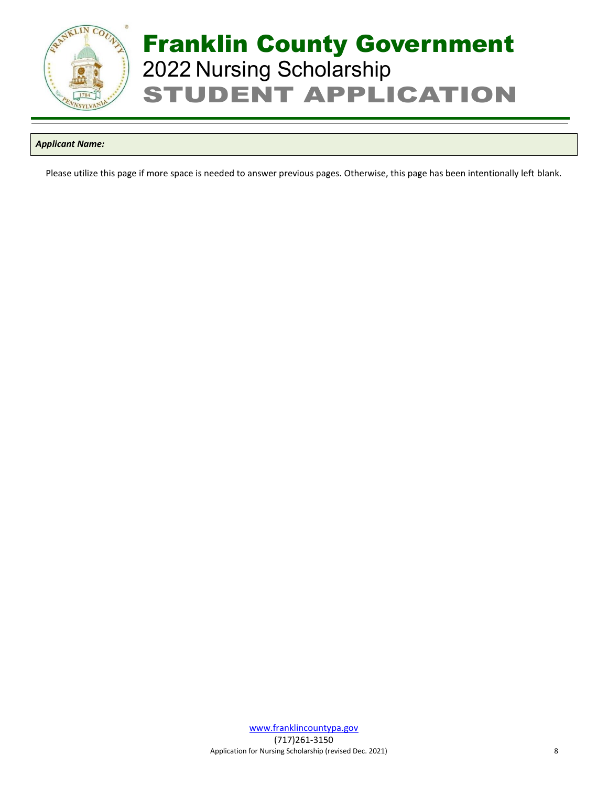

## *Applicant Name:*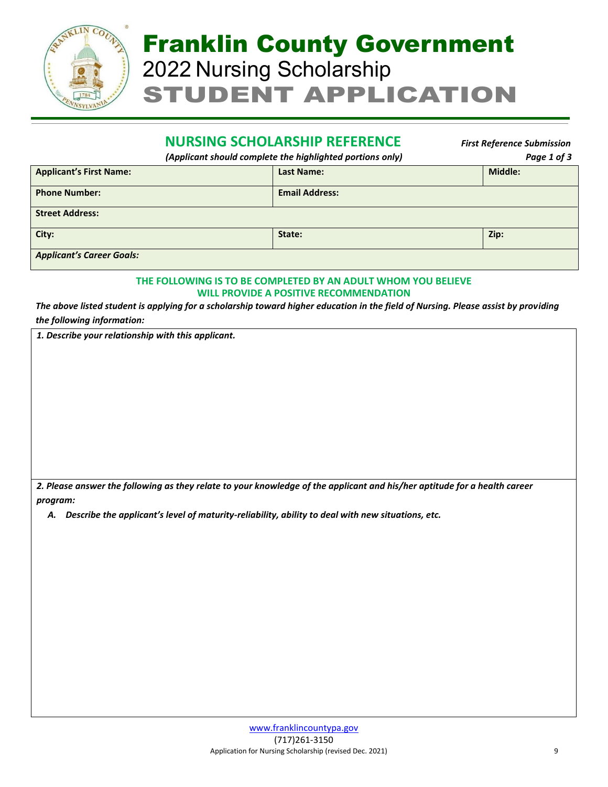

## **NURSING SCHOLARSHIP REFERENCE** *First Reference Submission*

*(Applicant should complete the highlighted portions only) Page 1 of 3*

| <b>Applicant's First Name:</b>   | <b>Last Name:</b>     | <b>Middle:</b> |  |  |
|----------------------------------|-----------------------|----------------|--|--|
| <b>Phone Number:</b>             | <b>Email Address:</b> |                |  |  |
| <b>Street Address:</b>           |                       |                |  |  |
| City:                            | State:                | Zip:           |  |  |
| <b>Applicant's Career Goals:</b> |                       |                |  |  |

## **THE FOLLOWING IS TO BE COMPLETED BY AN ADULT WHOM YOU BELIEVE WILL PROVIDE A POSITIVE RECOMMENDATION**

*The above listed student is applying for a scholarship toward higher education in the field of Nursing. Please assist by providing the following information:*

*1. Describe your relationship with this applicant.*

*2. Please answer the following as they relate to your knowledge of the applicant and his/her aptitude for a health career program:*

*A. Describe the applicant's level of maturity-reliability, ability to deal with new situations, etc.*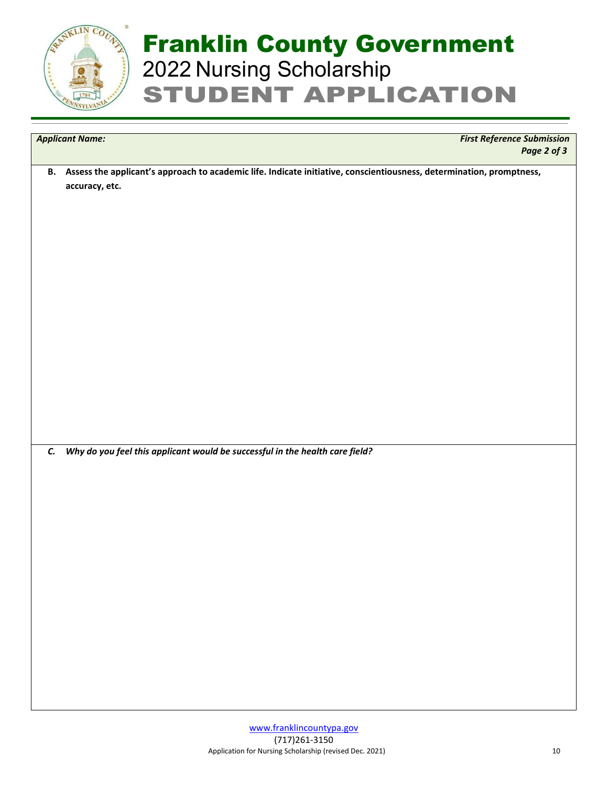

*Applicant Name: First Reference Submission Page 2 of 3*

**B. Assess the applicant's approach to academic life. Indicate initiative, conscientiousness, determination, promptness, accuracy, etc.**

*C. Why do you feel this applicant would be successful in the health care field?*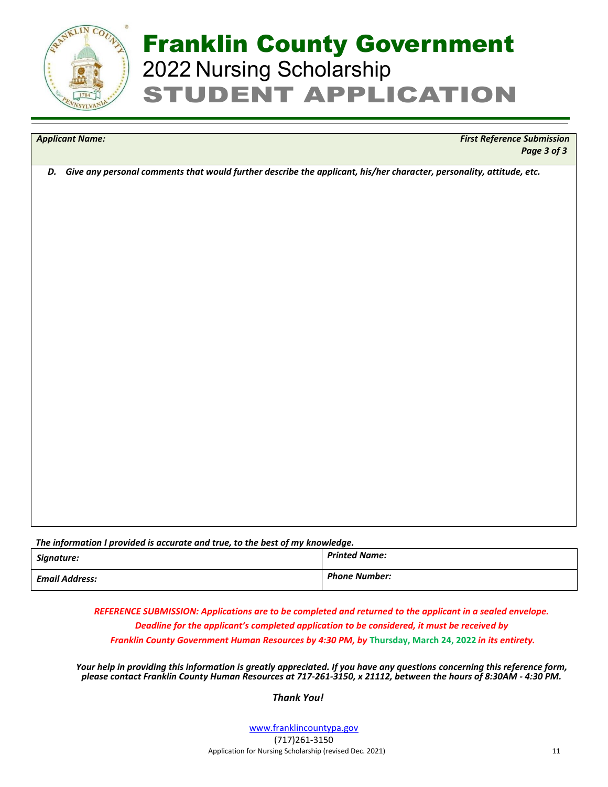

*Applicant Name: First Reference Submission Page 3 of 3*

*D. Give any personal comments that would further describe the applicant, his/her character, personality, attitude, etc.*

| The information I provided is accurate and true, to the best of my knowledge. |                      |  |
|-------------------------------------------------------------------------------|----------------------|--|
| Signature:                                                                    | <b>Printed Name:</b> |  |
| <b>Email Address:</b>                                                         | <b>Phone Number:</b> |  |

*REFERENCE SUBMISSION: Applications are to be completed and returned to the applicant in a sealed envelope. Deadline for the applicant's completed application to be considered, it must be received by Franklin County Government Human Resources by 4:30 PM, by* **Thursday, March 24, 2022** *in its entirety.* 

*Your help in providing this information is greatly appreciated. If you have any questions concerning this reference form, please contact Franklin County Human Resources at 717-261-3150, x 21112, between the hours of 8:30AM - 4:30 PM.*

## *Thank You!*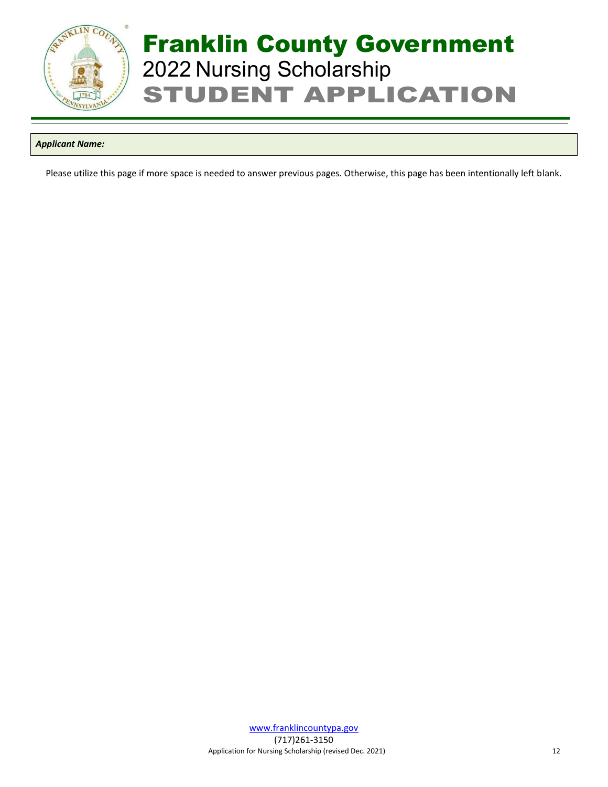

## *Applicant Name:*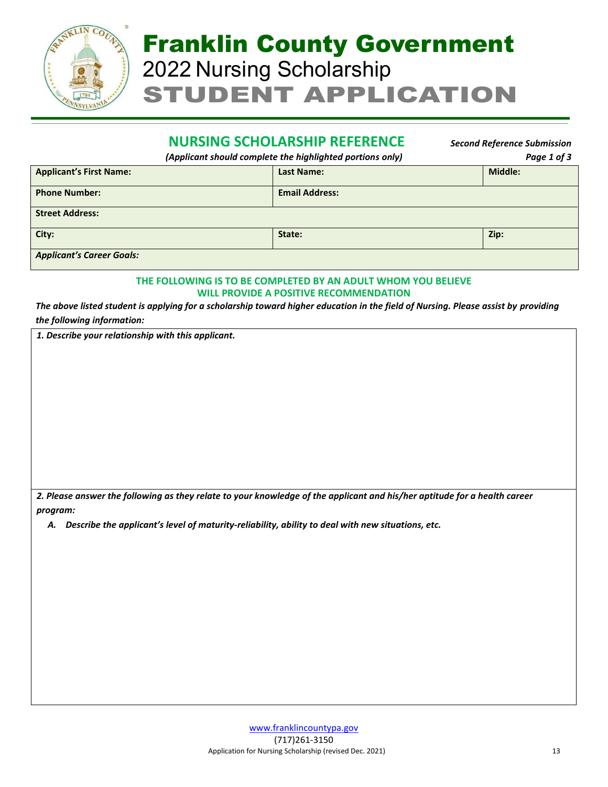

## **NURSING SCHOLARSHIP REFERENCE** *Second Reference Submission*

*(Applicant should complete the highlighted portions only) Page 1 of 3*

| <b>Applicant's First Name:</b>   | <b>Last Name:</b>     | <b>Middle:</b> |  |  |
|----------------------------------|-----------------------|----------------|--|--|
| <b>Phone Number:</b>             | <b>Email Address:</b> |                |  |  |
| <b>Street Address:</b>           |                       |                |  |  |
| City:                            | State:                | Zip:           |  |  |
| <b>Applicant's Career Goals:</b> |                       |                |  |  |

## **THE FOLLOWING IS TO BE COMPLETED BY AN ADULT WHOM YOU BELIEVE WILL PROVIDE A POSITIVE RECOMMENDATION**

*The above listed student is applying for a scholarship toward higher education in the field of Nursing. Please assist by providing the following information:*

*1. Describe your relationship with this applicant.*

*2. Please answer the following as they relate to your knowledge of the applicant and his/her aptitude for a health career program:*

*A. Describe the applicant's level of maturity-reliability, ability to deal with new situations, etc.*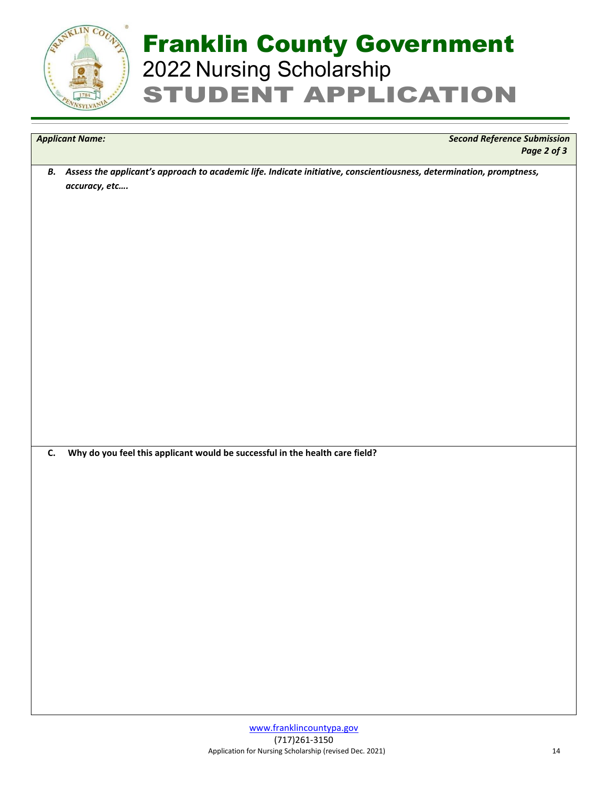

*Applicant Name: Second Reference Submission Page 2 of 3*

*B. Assess the applicant's approach to academic life. Indicate initiative, conscientiousness, determination, promptness, accuracy, etc….*

**C. Why do you feel this applicant would be successful in the health care field?**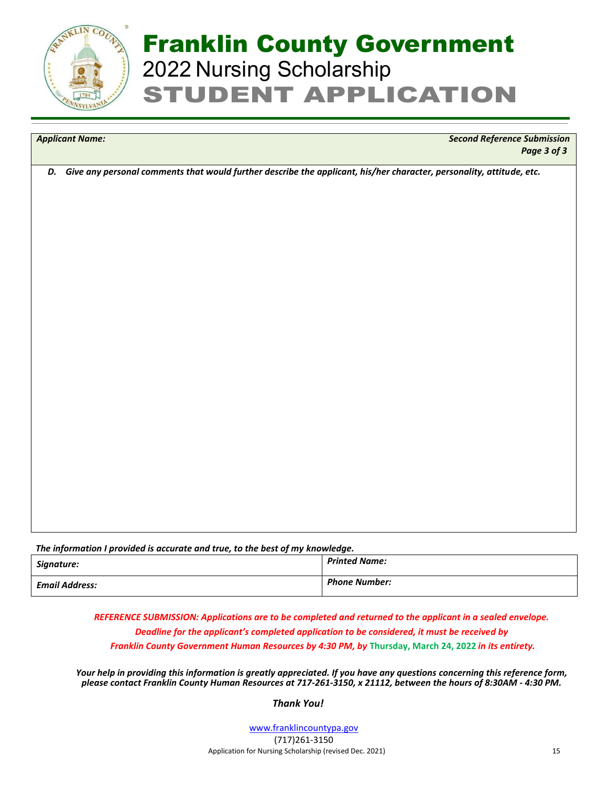

*Applicant Name: Second Reference Submission Page 3 of 3*

*D. Give any personal comments that would further describe the applicant, his/her character, personality, attitude, etc.*

*The information I provided is accurate and true, to the best of my knowledge.*

| Signature:            | <b>Printed Name:</b> |
|-----------------------|----------------------|
| <b>Email Address:</b> | <b>Phone Number:</b> |

*REFERENCE SUBMISSION: Applications are to be completed and returned to the applicant in a sealed envelope. Deadline for the applicant's completed application to be considered, it must be received by Franklin County Government Human Resources by 4:30 PM, by* **Thursday, March 24, 2022** *in its entirety.* 

*Your help in providing this information is greatly appreciated. If you have any questions concerning this reference form, please contact Franklin County Human Resources at 717-261-3150, x 21112, between the hours of 8:30AM - 4:30 PM.*

 *Thank You!*